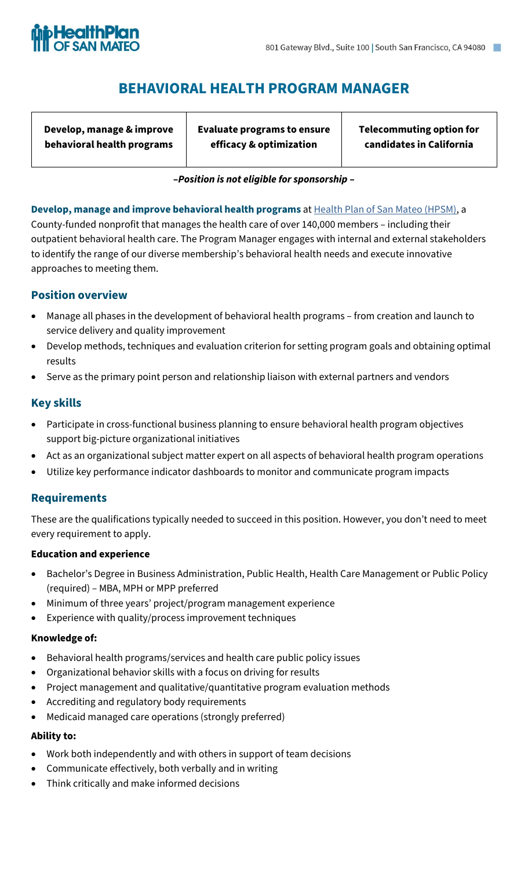

# **BEHAVIORAL HEALTH PROGRAM MANAGER**

**Develop, manage & improve behavioral health programs** **Evaluate programs to ensure efficacy & optimization**

**Telecommuting option for candidates in California**

### **–***Position is not eligible for sponsorship* **–**

**Develop, manage and improve behavioral health programs** at [Health Plan of San Mateo \(HPSM\),](https://www.hpsm.org/) a County-funded nonprofit that manages the health care of over 140,000 members – including their outpatient behavioral health care. The Program Manager engages with internal and external stakeholders to identify the range of our diverse membership's behavioral health needs and execute innovative approaches to meeting them.

## **Position overview**

- Manage all phases in the development of behavioral health programs from creation and launch to service delivery and quality improvement
- Develop methods, techniques and evaluation criterion for setting program goals and obtaining optimal results
- Serve as the primary point person and relationship liaison with external partners and vendors

## **Key skills**

- Participate in cross-functional business planning to ensure behavioral health program objectives support big-picture organizational initiatives
- Act as an organizational subject matter expert on all aspects of behavioral health program operations
- Utilize key performance indicator dashboards to monitor and communicate program impacts

## **Requirements**

These are the qualifications typically needed to succeed in this position. However, you don't need to meet every requirement to apply.

#### **Education and experience**

- Bachelor's Degree in Business Administration, Public Health, Health Care Management or Public Policy (required) – MBA, MPH or MPP preferred
- Minimum of three years' project/program management experience
- Experience with quality/process improvement techniques

#### **Knowledge of:**

- Behavioral health programs/services and health care public policy issues
- Organizational behavior skills with a focus on driving for results
- Project management and qualitative/quantitative program evaluation methods
- Accrediting and regulatory body requirements
- Medicaid managed care operations (strongly preferred)

#### **Ability to:**

- Work both independently and with others in support of team decisions
- Communicate effectively, both verbally and in writing
- Think critically and make informed decisions